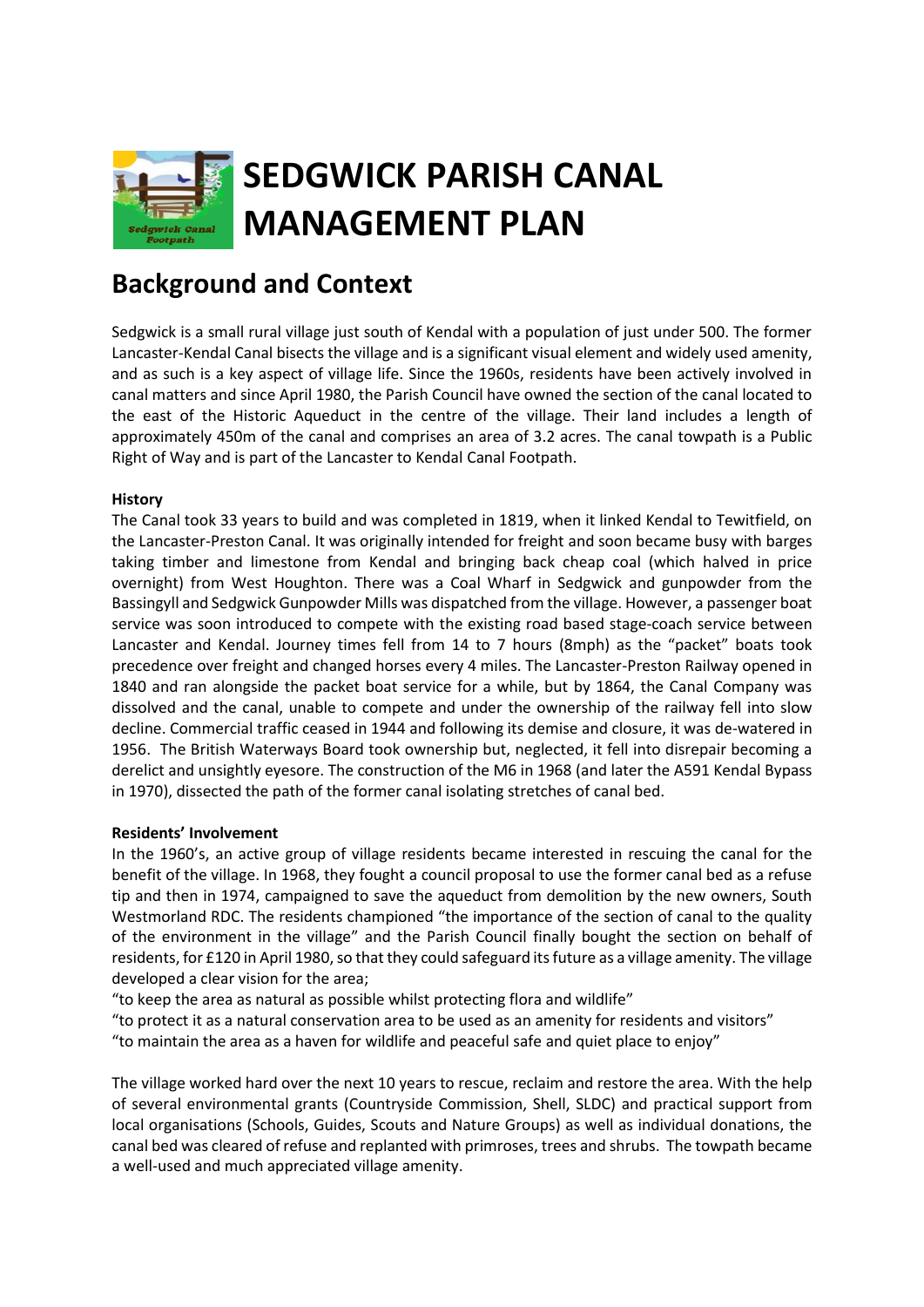

## **Background and Context**

Sedgwick is a small rural village just south of Kendal with a population of just under 500. The former Lancaster-Kendal Canal bisects the village and is a significant visual element and widely used amenity, and as such is a key aspect of village life. Since the 1960s, residents have been actively involved in canal matters and since April 1980, the Parish Council have owned the section of the canal located to the east of the Historic Aqueduct in the centre of the village. Their land includes a length of approximately 450m of the canal and comprises an area of 3.2 acres. The canal towpath is a Public Right of Way and is part of the Lancaster to Kendal Canal Footpath.

### **History**

The Canal took 33 years to build and was completed in 1819, when it linked Kendal to Tewitfield, on the Lancaster-Preston Canal. It was originally intended for freight and soon became busy with barges taking timber and limestone from Kendal and bringing back cheap coal (which halved in price overnight) from West Houghton. There was a Coal Wharf in Sedgwick and gunpowder from the Bassingyll and Sedgwick Gunpowder Mills was dispatched from the village. However, a passenger boat service was soon introduced to compete with the existing road based stage-coach service between Lancaster and Kendal. Journey times fell from 14 to 7 hours (8mph) as the "packet" boats took precedence over freight and changed horses every 4 miles. The Lancaster-Preston Railway opened in 1840 and ran alongside the packet boat service for a while, but by 1864, the Canal Company was dissolved and the canal, unable to compete and under the ownership of the railway fell into slow decline. Commercial traffic ceased in 1944 and following its demise and closure, it was de-watered in 1956. The British Waterways Board took ownership but, neglected, it fell into disrepair becoming a derelict and unsightly eyesore. The construction of the M6 in 1968 (and later the A591 Kendal Bypass in 1970), dissected the path of the former canal isolating stretches of canal bed.

#### **Residents' Involvement**

In the 1960's, an active group of village residents became interested in rescuing the canal for the benefit of the village. In 1968, they fought a council proposal to use the former canal bed as a refuse tip and then in 1974, campaigned to save the aqueduct from demolition by the new owners, South Westmorland RDC. The residents championed "the importance of the section of canal to the quality of the environment in the village" and the Parish Council finally bought the section on behalf of residents, for £120 in April 1980, so that they could safeguard its future as a village amenity. The village developed a clear vision for the area;

"to keep the area as natural as possible whilst protecting flora and wildlife"

"to protect it as a natural conservation area to be used as an amenity for residents and visitors" "to maintain the area as a haven for wildlife and peaceful safe and quiet place to enjoy"

The village worked hard over the next 10 years to rescue, reclaim and restore the area. With the help of several environmental grants (Countryside Commission, Shell, SLDC) and practical support from local organisations (Schools, Guides, Scouts and Nature Groups) as well as individual donations, the canal bed was cleared of refuse and replanted with primroses, trees and shrubs. The towpath became a well-used and much appreciated village amenity.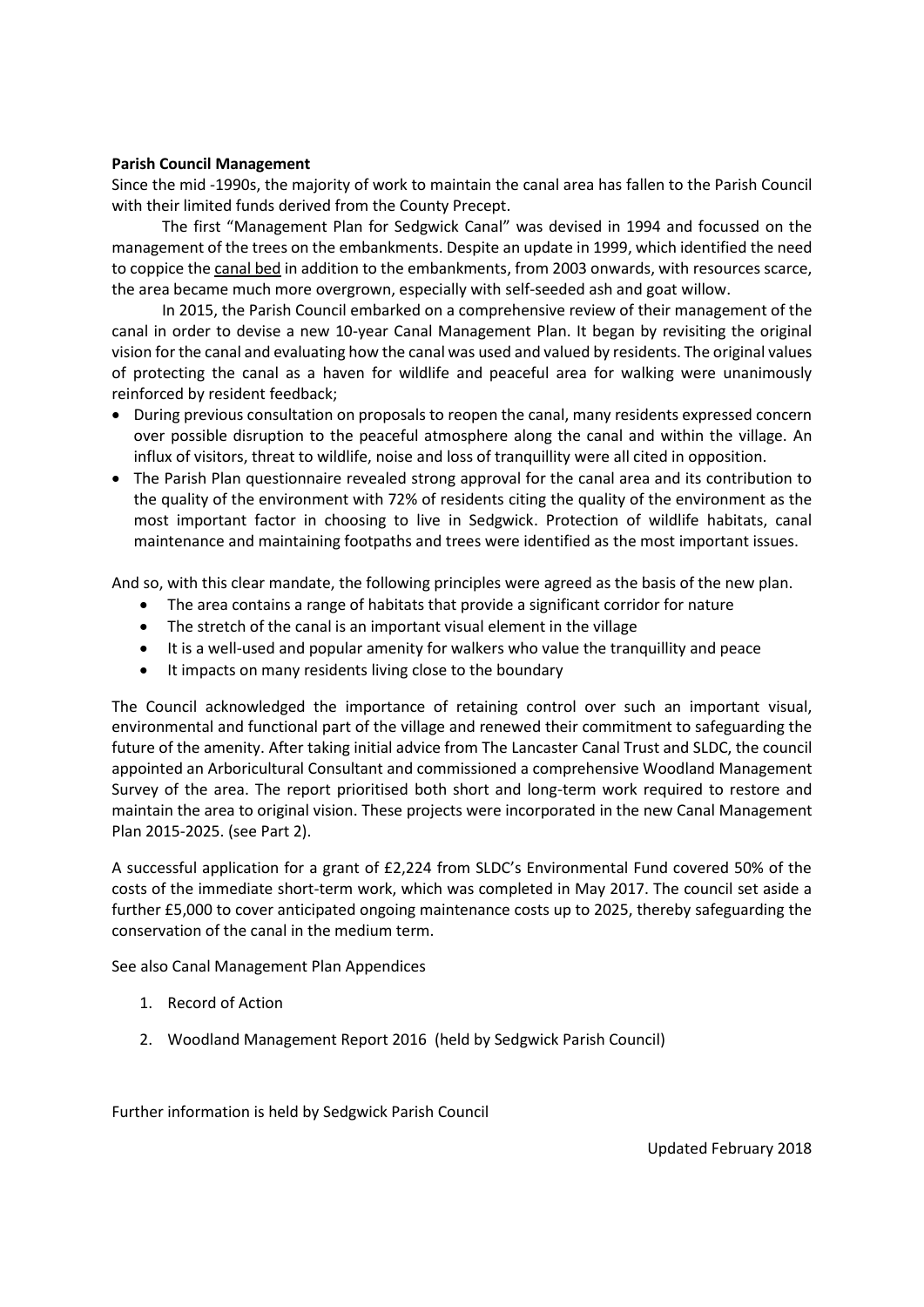#### **Parish Council Management**

Since the mid -1990s, the majority of work to maintain the canal area has fallen to the Parish Council with their limited funds derived from the County Precept.

 The first "Management Plan for Sedgwick Canal" was devised in 1994 and focussed on the management of the trees on the embankments. Despite an update in 1999, which identified the need to coppice the canal bed in addition to the embankments, from 2003 onwards, with resources scarce, the area became much more overgrown, especially with self-seeded ash and goat willow.

 In 2015, the Parish Council embarked on a comprehensive review of their management of the canal in order to devise a new 10-year Canal Management Plan. It began by revisiting the original vision for the canal and evaluating how the canal was used and valued by residents. The original values of protecting the canal as a haven for wildlife and peaceful area for walking were unanimously reinforced by resident feedback;

- During previous consultation on proposals to reopen the canal, many residents expressed concern over possible disruption to the peaceful atmosphere along the canal and within the village. An influx of visitors, threat to wildlife, noise and loss of tranquillity were all cited in opposition.
- The Parish Plan questionnaire revealed strong approval for the canal area and its contribution to the quality of the environment with 72% of residents citing the quality of the environment as the most important factor in choosing to live in Sedgwick. Protection of wildlife habitats, canal maintenance and maintaining footpaths and trees were identified as the most important issues.

And so, with this clear mandate, the following principles were agreed as the basis of the new plan.

- The area contains a range of habitats that provide a significant corridor for nature
- The stretch of the canal is an important visual element in the village
- It is a well-used and popular amenity for walkers who value the tranquillity and peace
- It impacts on many residents living close to the boundary

The Council acknowledged the importance of retaining control over such an important visual, environmental and functional part of the village and renewed their commitment to safeguarding the future of the amenity. After taking initial advice from The Lancaster Canal Trust and SLDC, the council appointed an Arboricultural Consultant and commissioned a comprehensive Woodland Management Survey of the area. The report prioritised both short and long-term work required to restore and maintain the area to original vision. These projects were incorporated in the new Canal Management Plan 2015-2025. (see Part 2).

A successful application for a grant of £2,224 from SLDC's Environmental Fund covered 50% of the costs of the immediate short-term work, which was completed in May 2017. The council set aside a further £5,000 to cover anticipated ongoing maintenance costs up to 2025, thereby safeguarding the conservation of the canal in the medium term.

See also Canal Management Plan Appendices

- 1. Record of Action
- 2. Woodland Management Report 2016 (held by Sedgwick Parish Council)

Further information is held by Sedgwick Parish Council